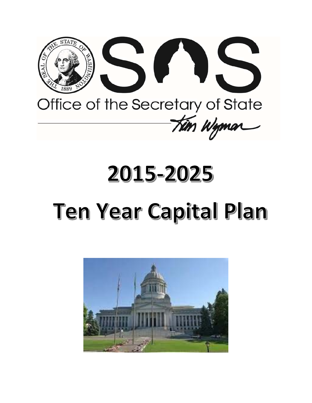

# 2015-2025

# **Ten Year Capital Plan**

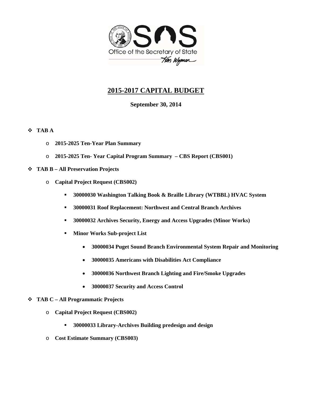

# **2015-2017 CAPITAL BUDGET**

# **September 30, 2014**

# **TAB A**

- o **2015-2025 Ten-Year Plan Summary**
- o **2015-2025 Ten- Year Capital Program Summary CBS Report (CBS001)**
- **TAB B All Preservation Projects** 
	- o **Capital Project Request (CBS002)** 
		- **30000030 Washington Talking Book & Braille Library (WTBBL) HVAC System**
		- **30000031 Roof Replacement: Northwest and Central Branch Archives**
		- **30000032 Archives Security, Energy and Access Upgrades (Minor Works)**
		- **Minor Works Sub-project List** 
			- **30000034 Puget Sound Branch Environmental System Repair and Monitoring**
			- **30000035 Americans with Disabilities Act Compliance**
			- **30000036 Northwest Branch Lighting and Fire/Smoke Upgrades**
			- **30000037 Security and Access Control**
- **TAB C All Programmatic Projects** 
	- o **Capital Project Request (CBS002)** 
		- **30000033 Library-Archives Building predesign and design**
	- o **Cost Estimate Summary (CBS003)**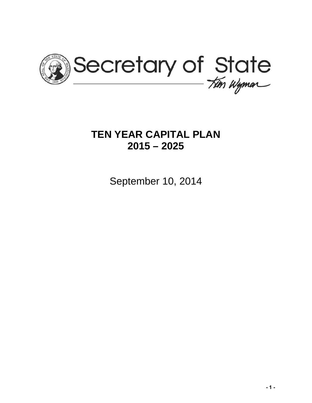

# **TEN YEAR CAPITAL PLAN 2015 – 2025**

September 10, 2014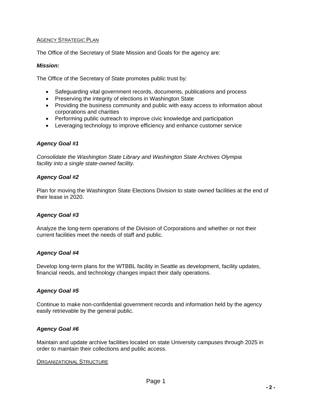# AGENCY STRATEGIC PLAN

The Office of the Secretary of State Mission and Goals for the agency are:

## *Mission:*

The Office of the Secretary of State promotes public trust by:

- Safeguarding vital government records, documents, publications and process
- Preserving the integrity of elections in Washington State
- Providing the business community and public with easy access to information about corporations and charities
- Performing public outreach to improve civic knowledge and participation
- Leveraging technology to improve efficiency and enhance customer service

## *Agency Goal #1*

*Consolidate the Washington State Library and Washington State Archives Olympia facility into a single state-owned facility.* 

## *Agency Goal #2*

Plan for moving the Washington State Elections Division to state owned facilities at the end of their lease in 2020.

# *Agency Goal #3*

Analyze the long-term operations of the Division of Corporations and whether or not their current facilities meet the needs of staff and public.

# *Agency Goal #4*

Develop long-term plans for the WTBBL facility in Seattle as development, facility updates, financial needs, and technology changes impact their daily operations.

# *Agency Goal #5*

Continue to make non-confidential government records and information held by the agency easily retrievable by the general public.

# *Agency Goal #6*

Maintain and update archive facilities located on state University campuses through 2025 in order to maintain their collections and public access.

### ORGANIZATIONAL STRUCTURE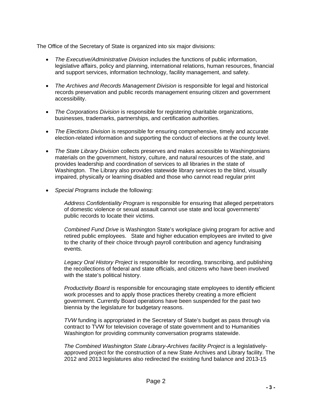The Office of the Secretary of State is organized into six major divisions:

- *The Executive/Administrative Division* includes the functions of public information, legislative affairs, policy and planning, international relations, human resources, financial and support services, information technology, facility management, and safety.
- *The Archives and Records Management Division* is responsible for legal and historical records preservation and public records management ensuring citizen and government accessibility.
- *The Corporations Division* is responsible for registering charitable organizations, businesses, trademarks, partnerships, and certification authorities.
- *The Elections Division* is responsible for ensuring comprehensive, timely and accurate election-related information and supporting the conduct of elections at the county level.
- *The State Library Division* collects preserves and makes accessible to Washingtonians materials on the government, history, culture, and natural resources of the state, and provides leadership and coordination of services to all libraries in the state of Washington. The Library also provides statewide library services to the blind, visually impaired, physically or learning disabled and those who cannot read regular print
- *Special Programs* include the following:

*Address Confidentiality Program* is responsible for ensuring that alleged perpetrators of domestic violence or sexual assault cannot use state and local governments' public records to locate their victims.

*Combined Fund Drive* is Washington State's workplace giving program for active and retired public employees. State and higher education employees are invited to give to the charity of their choice through payroll contribution and agency fundraising events.

*Legacy Oral History Project* is responsible for recording, transcribing, and publishing the recollections of federal and state officials, and citizens who have been involved with the state's political history.

*Productivity Board* is responsible for encouraging state employees to identify efficient work processes and to apply those practices thereby creating a more efficient government. Currently Board operations have been suspended for the past two biennia by the legislature for budgetary reasons.

*TVW* funding is appropriated in the Secretary of State's budget as pass through via contract to TVW for television coverage of state government and to Humanities Washington for providing community conversation programs statewide.

*The Combined Washington State Library-Archives facility Project* is a legislativelyapproved project for the construction of a new State Archives and Library facility. The 2012 and 2013 legislatures also redirected the existing fund balance and 2013-15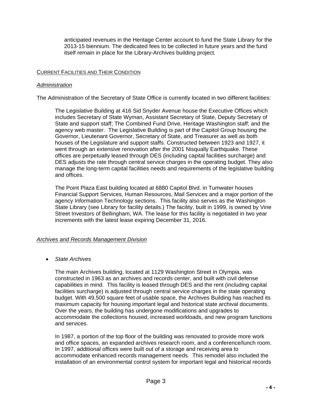anticipated revenues in the Heritage Center account to fund the State Library for the 2013-15 biennium. The dedicated fees to be collected in future years and the fund itself remain in place for the Library-Archives building project.

# CURRENT FACILITIES AND THEIR CONDITION

## *Administration*

The Administration of the Secretary of State Office is currently located in two different facilities:

The Legislative Building at 416 Sid Snyder Avenue house the Executive Offices which includes Secretary of State Wyman, Assistant Secretary of State, Deputy Secretary of State and support staff; The Combined Fund Drive, Heritage Washington staff; and the agency web master. The Legislative Building is part of the Capitol Group housing the Governor, Lieutenant Governor, Secretary of State, and Treasurer as well as both houses of the Legislature and support staffs. Constructed between 1923 and 1927, it went through an extensive renovation after the 2001 Nisqually Earthquake. These offices are perpetually leased through DES (including capital facilities surcharge) and DES adjusts the rate through central service charges in the operating budget. They also manage the long-term capital facilities needs and requirements of the legislative building and offices.

The Point Plaza East building located at 6880 Capitol Blvd. in Tumwater houses Financial Support Services, Human Resources, Mail Services and a major portion of the agency Information Technology sections. This facility also serves as the Washington State Library (see Library for facility details.) The facility, built in 1999, is owned by Vine Street Investors of Bellingham, WA. The lease for this facility is negotiated in two year increments with the latest lease expiring December 31, 2016.

# *Archives and Records Management Division*

*State Archives* 

The main Archives building, located at 1129 Washington Street in Olympia, was constructed in 1963 as an archives and records center, and built with civil defense capabilities in mind. This facility is leased through DES and the rent (including capital facilities surcharge) is adjusted through central service charges in the state operating budget. With 49,500 square feet of usable space, the Archives Building has reached its maximum capacity for housing important legal and historical state archival documents. Over the years, the building has undergone modifications and upgrades to accommodate the collections housed, increased workloads, and new program functions and services.

In 1987, a portion of the top floor of the building was renovated to provide more work and office spaces, an expanded archives research room, and a conference/lunch room. In 1997, additional offices were built out of a storage and receiving area to accommodate enhanced records management needs. This remodel also included the installation of an environmental control system for important legal and historical records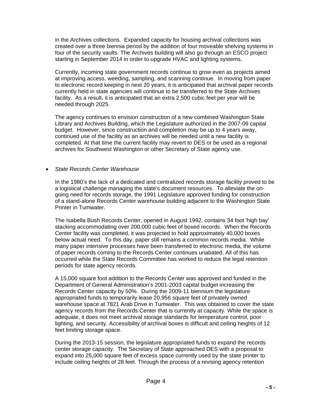in the Archives collections. Expanded capacity for housing archival collections was created over a three biennia period by the addition of four moveable shelving systems in four of the security vaults. The Archives building will also go through an ESCO project starting in September 2014 in order to upgrade HVAC and lighting systems.

Currently, incoming state government records continue to grow even as projects aimed at improving access, weeding, sampling, and scanning continue. In moving from paper to electronic record keeping in next 20 years, it is anticipated that archival paper records currently held in state agencies will continue to be transferred to the State Archives facility. As a result, it is anticipated that an extra 2,500 cubic feet per year will be needed through 2025.

The agency continues to envision construction of a new combined Washington State Library and Archives Building, which the Legislature authorized in the 2007-09 capital budget. However, since construction and completion may be up to 4 years away, continued use of the facility as an archives will be needed until a new facility is completed. At that time the current facility may revert to DES or be used as a regional archives for Southwest Washington or other Secretary of State agency use.

# *State Records Center Warehouse*

In the 1980's the lack of a dedicated and centralized records storage facility proved to be a logistical challenge managing the state's document resources. To alleviate the ongoing need for records storage, the 1991 Legislature approved funding for construction of a stand-alone Records Center warehouse building adjacent to the Washington State Printer in Tumwater.

The Isabella Bush Records Center, opened in August 1992, contains 34 foot 'high bay' stacking accommodating over 200,000 cubic feet of boxed records. When the Records Center facility was completed, it was projected to hold approximately 40,000 boxes below actual need. To this day, paper still remains a common records media. While many paper intensive processes have been transferred to electronic media, the volume of paper records coming to the Records Center continues unabated. All of this has occurred while the State Records Committee has worked to reduce the legal retention periods for state agency records.

A 15,000 square foot addition to the Records Center was approved and funded in the Department of General Administration's 2001-2003 capital budget increasing the Records Center capacity by 50%. During the 2009-11 biennium the legislature appropriated funds to temporarily lease 20,956 square feet of privately owned warehouse space at 7821 Arab Drive in Tumwater. This was obtained to cover the state agency records from the Records Center that is currently at capacity. While the space is adequate, it does not meet archival storage standards for temperature control, poor lighting, and security. Accessibility of archival boxes is difficult and ceiling heights of 12 feet limiting storage space.

During the 2013-15 session, the legislature appropriated funds to expand the records center storage capacity. The Secretary of State approached DES with a proposal to expand into 25,000 square feet of excess space currently used by the state printer to include ceiling heights of 28 feet. Through the process of a revising agency retention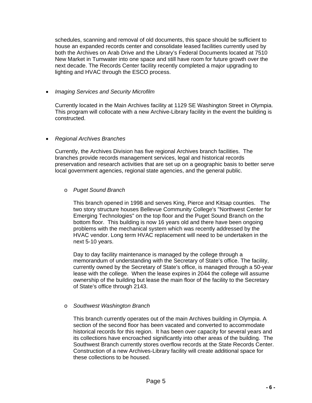schedules, scanning and removal of old documents, this space should be sufficient to house an expanded records center and consolidate leased facilities currently used by both the Archives on Arab Drive and the Library's Federal Documents located at 7510 New Market in Tumwater into one space and still have room for future growth over the next decade. The Records Center facility recently completed a major upgrading to lighting and HVAC through the ESCO process.

# *Imaging Services and Security Microfilm*

Currently located in the Main Archives facility at 1129 SE Washington Street in Olympia. This program will collocate with a new Archive-Library facility in the event the building is constructed.

## *Regional Archives Branches*

Currently, the Archives Division has five regional Archives branch facilities. The branches provide records management services, legal and historical records preservation and research activities that are set up on a geographic basis to better serve local government agencies, regional state agencies, and the general public.

# o *Puget Sound Branch*

This branch opened in 1998 and serves King, Pierce and Kitsap counties. The two story structure houses Bellevue Community College's "Northwest Center for Emerging Technologies" on the top floor and the Puget Sound Branch on the bottom floor. This building is now 16 years old and there have been ongoing problems with the mechanical system which was recently addressed by the HVAC vendor. Long term HVAC replacement will need to be undertaken in the next 5-10 years.

Day to day facility maintenance is managed by the college through a memorandum of understanding with the Secretary of State's office. The facility, currently owned by the Secretary of State's office, is managed through a 50-year lease with the college. When the lease expires in 2044 the college will assume ownership of the building but lease the main floor of the facility to the Secretary of State's office through 2143.

# o *Southwest Washington Branch*

This branch currently operates out of the main Archives building in Olympia. A section of the second floor has been vacated and converted to accommodate historical records for this region. It has been over capacity for several years and its collections have encroached significantly into other areas of the building. The Southwest Branch currently stores overflow records at the State Records Center. Construction of a new Archives-Library facility will create additional space for these collections to be housed.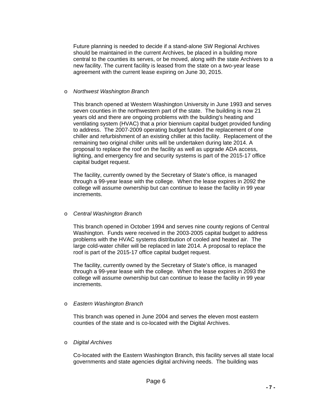Future planning is needed to decide if a stand-alone SW Regional Archives should be maintained in the current Archives, be placed in a building more central to the counties its serves, or be moved, along with the state Archives to a new facility. The current facility is leased from the state on a two-year lease agreement with the current lease expiring on June 30, 2015.

## o *Northwest Washington Branch*

This branch opened at Western Washington University in June 1993 and serves seven counties in the northwestern part of the state. The building is now 21 years old and there are ongoing problems with the building's heating and ventilating system (HVAC) that a prior biennium capital budget provided funding to address. The 2007-2009 operating budget funded the replacement of one chiller and refurbishment of an existing chiller at this facility. Replacement of the remaining two original chiller units will be undertaken during late 2014. A proposal to replace the roof on the facility as well as upgrade ADA access, lighting, and emergency fire and security systems is part of the 2015-17 office capital budget request.

The facility, currently owned by the Secretary of State's office, is managed through a 99-year lease with the college. When the lease expires in 2092 the college will assume ownership but can continue to lease the facility in 99 year increments.

# o *Central Washington Branch*

This branch opened in October 1994 and serves nine county regions of Central Washington. Funds were received in the 2003-2005 capital budget to address problems with the HVAC systems distribution of cooled and heated air. The large cold-water chiller will be replaced in late 2014. A proposal to replace the roof is part of the 2015-17 office capital budget request.

The facility, currently owned by the Secretary of State's office, is managed through a 99-year lease with the college. When the lease expires in 2093 the college will assume ownership but can continue to lease the facility in 99 year increments.

# o *Eastern Washington Branch*

This branch was opened in June 2004 and serves the eleven most eastern counties of the state and is co-located with the Digital Archives.

# o *Digital Archives*

Co-located with the Eastern Washington Branch, this facility serves all state local governments and state agencies digital archiving needs. The building was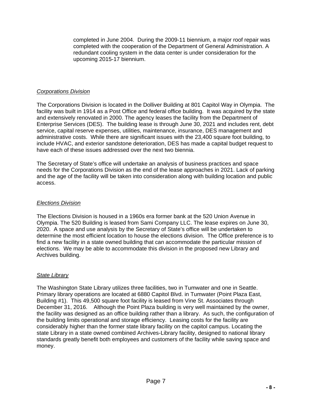completed in June 2004. During the 2009-11 biennium, a major roof repair was completed with the cooperation of the Department of General Administration. A redundant cooling system in the data center is under consideration for the upcoming 2015-17 biennium.

## *Corporations Division*

The Corporations Division is located in the Dolliver Building at 801 Capitol Way in Olympia. The facility was built in 1914 as a Post Office and federal office building. It was acquired by the state and extensively renovated in 2000. The agency leases the facility from the Department of Enterprise Services (DES). The building lease is through June 30, 2021 and includes rent, debt service, capital reserve expenses, utilities, maintenance, insurance, DES management and administrative costs. While there are significant issues with the 23,400 square foot building, to include HVAC, and exterior sandstone deterioration, DES has made a capital budget request to have each of these issues addressed over the next two biennia.

The Secretary of State's office will undertake an analysis of business practices and space needs for the Corporations Division as the end of the lease approaches in 2021. Lack of parking and the age of the facility will be taken into consideration along with building location and public access.

## *Elections Division*

The Elections Division is housed in a 1960s era former bank at the 520 Union Avenue in Olympia. The 520 Building is leased from Sami Company LLC. The lease expires on June 30, 2020. A space and use analysis by the Secretary of State's office will be undertaken to determine the most efficient location to house the elections division. The Office preference is to find a new facility in a state owned building that can accommodate the particular mission of elections. We may be able to accommodate this division in the proposed new Library and Archives building.

# *State Library*

The Washington State Library utilizes three facilities, two in Tumwater and one in Seattle. Primary library operations are located at 6880 Capitol Blvd. in Tumwater (Point Plaza East, Building #1). This 49,500 square foot facility is leased from Vine St. Associates through December 31, 2016. Although the Point Plaza building is very well maintained by the owner, the facility was designed as an office building rather than a library. As such, the configuration of the building limits operational and storage efficiency. Leasing costs for the facility are considerably higher than the former state library facility on the capitol campus. Locating the state Library in a state owned combined Archives-Library facility, designed to national library standards greatly benefit both employees and customers of the facility while saving space and money.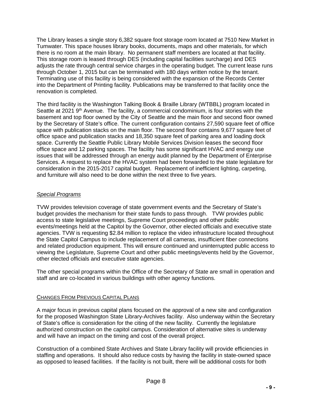The Library leases a single story 6,382 square foot storage room located at 7510 New Market in Tumwater. This space houses library books, documents, maps and other materials, for which there is no room at the main library. No permanent staff members are located at that facility. This storage room is leased through DES (including capital facilities surcharge) and DES adjusts the rate through central service charges in the operating budget. The current lease runs through October 1, 2015 but can be terminated with 180 days written notice by the tenant. Terminating use of this facility is being considered with the expansion of the Records Center into the Department of Printing facility. Publications may be transferred to that facility once the renovation is completed.

The third facility is the Washington Talking Book & Braille Library (WTBBL) program located in Seattle at 2021 9<sup>th</sup> Avenue. The facility, a commercial condominium, is four stories with the basement and top floor owned by the City of Seattle and the main floor and second floor owned by the Secretary of State's office. The current configuration contains 27,590 square feet of office space with publication stacks on the main floor. The second floor contains 9,677 square feet of office space and publication stacks and 18,350 square feet of parking area and loading dock space. Currently the Seattle Public Library Mobile Services Division leases the second floor office space and 12 parking spaces. The facility has some significant HVAC and energy use issues that will be addressed through an energy audit planned by the Department of Enterprise Services. A request to replace the HVAC system had been forwarded to the state legislature for consideration in the 2015-2017 capital budget. Replacement of inefficient lighting, carpeting, and furniture will also need to be done within the next three to five years.

# *Special Programs*

TVW provides television coverage of state government events and the Secretary of State's budget provides the mechanism for their state funds to pass through. TVW provides public access to state legislative meetings, Supreme Court proceedings and other public events/meetings held at the Capitol by the Governor, other elected officials and executive state agencies. TVW is requesting \$2.84 million to replace the video infrastructure located throughout the State Capitol Campus to include replacement of all cameras, insufficient fiber connections and related production equipment. This will ensure continued and uninterrupted public access to viewing the Legislature, Supreme Court and other public meetings/events held by the Governor, other elected officials and executive state agencies.

The other special programs within the Office of the Secretary of State are small in operation and staff and are co-located in various buildings with other agency functions.

# CHANGES FROM PREVIOUS CAPITAL PLANS

A major focus in previous capital plans focused on the approval of a new site and configuration for the proposed Washington State Library-Archives facility. Also underway within the Secretary of State's office is consideration for the citing of the new facility. Currently the legislature authorized construction on the capitol campus. Consideration of alternative sites is underway and will have an impact on the timing and cost of the overall project.

Construction of a combined State Archives and State Library facility will provide efficiencies in staffing and operations. It should also reduce costs by having the facility in state-owned space as opposed to leased facilities. If the facility is not built, there will be additional costs for both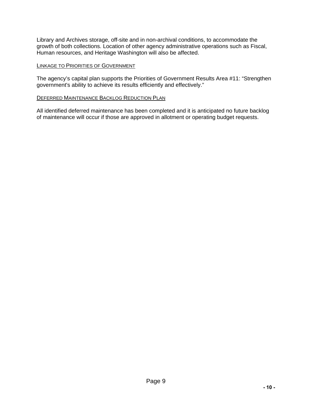Library and Archives storage, off-site and in non-archival conditions, to accommodate the growth of both collections. Location of other agency administrative operations such as Fiscal, Human resources, and Heritage Washington will also be affected.

## LINKAGE TO PRIORITIES OF GOVERNMENT

The agency's capital plan supports the Priorities of Government Results Area #11: "Strengthen government's ability to achieve its results efficiently and effectively."

## DEFERRED MAINTENANCE BACKLOG REDUCTION PLAN

All identified deferred maintenance has been completed and it is anticipated no future backlog of maintenance will occur if those are approved in allotment or operating budget requests.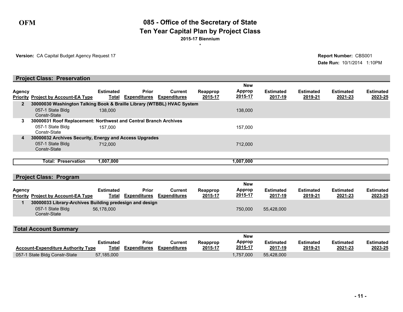# **OFM 085 - Office of the Secretary of State 2015-17 Biennium Ten Year Capital Plan by Project Class**

\*

**Version:** CA Capital Budget Agency Request 17

**Date Run:** 10/1/2014 1:10PM **Report Number:** CBS001

|               | <b>Project Class: Preservation</b>                                     |                  |                           |                     |          |               |                  |                  |                  |                  |
|---------------|------------------------------------------------------------------------|------------------|---------------------------|---------------------|----------|---------------|------------------|------------------|------------------|------------------|
|               |                                                                        |                  |                           |                     |          | <b>New</b>    |                  |                  |                  |                  |
| <b>Agency</b> |                                                                        | <b>Estimated</b> | <b>Prior</b>              | Current             | Reapprop | <b>Approp</b> | <b>Estimated</b> | <b>Estimated</b> | <b>Estimated</b> | <b>Estimated</b> |
|               | <b>Priority Project by Account-EA Type</b>                             |                  | <b>Total Expenditures</b> | <b>Expenditures</b> | 2015-17  | 2015-17       | 2017-19          | 2019-21          | 2021-23          | 2023-25          |
|               | 30000030 Washington Talking Book & Braille Library (WTBBL) HVAC System |                  |                           |                     |          |               |                  |                  |                  |                  |
|               | 057-1 State Bldg<br>Constr-State                                       | 138,000          |                           |                     |          | 138,000       |                  |                  |                  |                  |
| 3             | 30000031 Roof Replacement: Northwest and Central Branch Archives       |                  |                           |                     |          |               |                  |                  |                  |                  |
|               | 057-1 State Bldg<br>Constr-State                                       | 157.000          |                           |                     |          | 157.000       |                  |                  |                  |                  |
| 4             | 30000032 Archives Security, Energy and Access Upgrades                 |                  |                           |                     |          |               |                  |                  |                  |                  |
|               | 057-1 State Bldg<br>Constr-State                                       | 712,000          |                           |                     |          | 712,000       |                  |                  |                  |                  |
|               |                                                                        |                  |                           |                     |          |               |                  |                  |                  |                  |
|               | Total: Preservation                                                    | 1,007,000        |                           |                     |          | 1,007,000     |                  |                  |                  |                  |
|               |                                                                        |                  |                           |                     |          |               |                  |                  |                  |                  |
|               | <b>Project Class: Program</b>                                          |                  |                           |                     |          |               |                  |                  |                  |                  |

| Agency | <b>Priority Project by Account-EA Type</b>                                                  | <b>Estimated</b><br>Total | Prior<br>Expenditures | Current<br><b>Expenditures</b> | Reapprop<br>2015-17 | <b>New</b><br><b>Approp</b><br>2015-17 | <b>Estimated</b><br>2017-19 | <b>Estimated</b><br>2019-21 | <b>Estimated</b><br>2021-23 | <b>Estimated</b><br>2023-25 |
|--------|---------------------------------------------------------------------------------------------|---------------------------|-----------------------|--------------------------------|---------------------|----------------------------------------|-----------------------------|-----------------------------|-----------------------------|-----------------------------|
|        | 30000033 Library-Archives Building predesign and design<br>057-1 State Bldg<br>Constr-State | 56,178,000                |                       |                                |                     | 750,000                                | 55.428.000                  |                             |                             |                             |

| <b>Total Account Summary</b>                       |              |                     |          |            |                  |                  |                  |                  |
|----------------------------------------------------|--------------|---------------------|----------|------------|------------------|------------------|------------------|------------------|
|                                                    |              |                     |          | <b>New</b> |                  |                  |                  |                  |
| <b>Estimated</b>                                   | Prior        | Current             | Reapprop | Approp     | <b>Estimated</b> | <b>Estimated</b> | <b>Estimated</b> | <b>Estimated</b> |
| Total<br><b>Account-Expenditure Authority Type</b> | Expenditures | <b>Expenditures</b> | 2015-17  | 2015-17    | 2017-19          | 2019-21          | 2021-23          | 2023-25          |
| 057-1 State Bldg Constr-State<br>57,185,000        |              |                     |          | 1,757,000  | 55,428,000       |                  |                  |                  |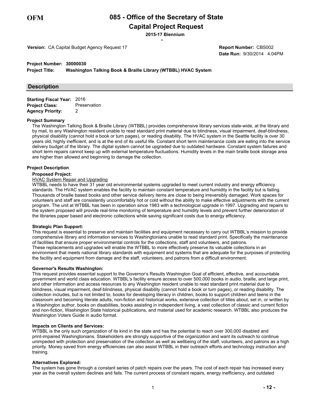# **Capital Project Request**

\* **2015-17 Biennium**

**Version:** CA Capital Budget Agency Request 17

**Date Run:** 9/30/2014 4:04PM **Report Number:** CBS002

#### **Project Number: 30000030**

**Project Title: Washington Talking Book & Braille Library (WTBBL) HVAC System**

#### **Description**

| <b>Starting Fiscal Year: 2016</b> |              |
|-----------------------------------|--------------|
| <b>Project Class:</b>             | Preservation |
| <b>Agency Priority:</b>           | 2            |

#### **Project Summary**

The Washington Talking Book & Braille Library (WTBBL) provides comprehensive library services state-wide, at the library and by mail, to any Washington resident unable to read standard print material due to blindness, visual impairment, deaf-blindness, physical disability (cannot hold a book or turn pages), or reading disability. The HVAC system in the Seattle facility is over 30 years old, highly inefficient, and is at the end of its useful life. Constant short term maintenance costs are eating into the service delivery budget of the library. The digital system cannot be upgraded due to outdated hardware. Constant system failures and short term repairs cannot keep up with external temperature fluctuations. Humidity levels in the main braille book storage area are higher than allowed and beginning to damage the collection.

#### **Project Description**

#### **Proposed Project:**

#### HVAC System Repair and Upgrading

WTBBL needs to have their 31 year old environmental systems upgraded to meet current industry and energy efficiency standards. The HVAC system enables the facility to maintain constant temperature and humidity in the facility but is failing. Thousands of braille based books and other service delivery items are close to being irreversibly damaged. Work spaces for volunteers and staff are consistently uncomfortably hot or cold without the ability to make effective adjustments with the current program. The unit at WTBBL has been in operation since 1983 with a technological upgrade in 1997. Upgrading and repairs to the system proposed will provide real-time monitoring of temperature and humidity levels and prevent further deterioration of the libraries paper based and electronic collections while saving significant costs due to energy efficiency.

#### **Strategic Plan Support:**

This request is essential to preserve and maintain facilities and equipment necessary to carry out WTBBL's mission to provide comprehensive library and information services to Washingtonians unable to read standard print. Specifically the maintenance of facilities that ensure proper environmental controls for the collections, staff and volunteers, and patrons. These replacements and upgrades will enable the WTBBL to more effectively preserve its valuable collections in an environment that meets national library standards with equipment and systems that are adequate for the purposes of protecting the facility and equipment from damage and the staff, volunteers, and patrons from a difficult environment.

#### **Governor's Results Washington:**

This request provides essential support to the Governor's Results Washington Goal of efficient, effective, and accountable government and world class education. WTBBL's facility ensure access to over 500,000 books in audio, braille, and large print, and other information and access resources to any Washington resident unable to read standard print material due to blindness, visual impairment, deaf-blindness, physical disability (cannot hold a book or turn pages), or reading disability. The collection includes, but is not limited to, books for developing literacy in children, books to support children and teens in the classroom and becoming literate adults, non-fiction and historical works, extensive collection of titles about, set in, or written by a Washington author, books on disabilities, books assisting in independent living, a vast collection of classic and current fiction and non-fiction, Washington State historical publications, and material used for academic research. WTBBL also produces the Washington Voters Guide in audio format.

#### **Impacts on Clients and Services:**

WTBBL is the only such organization of its kind in the state and has the potential to reach over 300,000 disabled and print-impaired Washingtonians. Stakeholders are strongly supportive of the organization and want its outreach to continue unimpeded with protection and preservation of the collection as well as wellbeing of the staff, volunteers, and patrons as a high priority. Money saved from energy efficiencies can also assist WTBBL in their outreach efforts and technology instruction and training.

#### **Alternatives Explored:**

The system has gone through a constant series of patch repairs over the years. The cost of each repair has increased every year as the overall system declines and fails. The current process of constant repairs, energy inefficiency, and outdated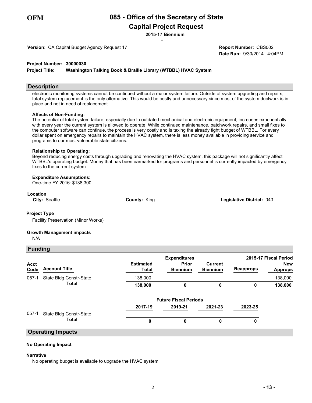**Capital Project Request**

\* **2015-17 Biennium**

**Version:** CA Capital Budget Agency Request 17

**Date Run:** 9/30/2014 4:04PM **Report Number:** CBS002

#### **Project Number: 30000030**

**Project Title: Washington Talking Book & Braille Library (WTBBL) HVAC System**

#### **Description**

electronic monitoring systems cannot be continued without a major system failure. Outside of system upgrading and repairs, total system replacement is the only alternative. This would be costly and unnecessary since most of the system ductwork is in place and not in need of replacement.

#### **Affects of Non-Funding:**

The potential of total system failure, especially due to outdated mechanical and electronic equipment, increases exponentially with every year the current system is allowed to operate. While continued maintenance, patchwork repairs, and small fixes to the computer software can continue, the process is very costly and is taxing the already tight budget of WTBBL. For every dollar spent on emergency repairs to maintain the HVAC system, there is less money available in providing service and programs to our most vulnerable state citizens.

#### **Relationship to Operating:**

Beyond reducing energy costs through upgrading and renovating the HVAC system, this package will not significantly affect WTBBL's operating budget. Money that has been earmarked for programs and personnel is currently impacted by emergency fixes to the current system.

#### **Expenditure Assumptions:**

One-time FY 2016: \$138,300

#### **Location**

**City:** Seattle **County:** King **Legislative District:** 043

#### **Project Type**

Facility Preservation (Minor Works)

#### **Growth Management impacts**

N/A

#### **Funding**

|              |                         |                           | <b>Expenditures</b>      | 2015-17 Fiscal Period      |                  |                              |
|--------------|-------------------------|---------------------------|--------------------------|----------------------------|------------------|------------------------------|
| Acct<br>Code | <b>Account Title</b>    | <b>Estimated</b><br>Total | Prior<br><b>Biennium</b> | Current<br><b>Biennium</b> | <b>Reapprops</b> | <b>New</b><br><b>Approps</b> |
| $057-1$      | State Bldg Constr-State | 138,000                   |                          |                            |                  | 138,000                      |
|              | Total                   | 138,000                   |                          |                            |                  | 138,000                      |

|       |                          | <b>Future Fiscal Periods</b> |         |         |         |  |
|-------|--------------------------|------------------------------|---------|---------|---------|--|
|       |                          | 2017-19                      | 2019-21 | 2021-23 | 2023-25 |  |
| 057-1 | State Bldg Constr-State  |                              |         |         |         |  |
|       | <b>Total</b>             | 0                            |         |         |         |  |
|       | <b>Operating Impacts</b> |                              |         |         |         |  |

# **No Operating Impact**

#### **Narrative**

No operating budget is available to upgrade the HVAC system.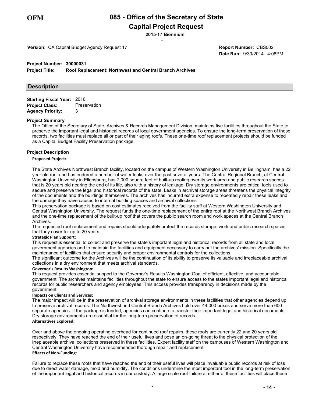# **Capital Project Request**

\* **2015-17 Biennium**

**Version:** CA Capital Budget Agency Request 17

**Date Run:** 9/30/2014 4:08PM **Report Number:** CBS002

#### **Project Number: 30000031**

**Project Title: Roof Replacement: Northwest and Central Branch Archives**

#### **Description**

| <b>Starting Fiscal Year: 2016</b> |              |
|-----------------------------------|--------------|
| <b>Project Class:</b>             | Preservation |
| <b>Agency Priority:</b>           | 3            |

#### **Project Summary**

The Office of the Secretary of State, Archives & Records Management Division, maintains five facilities throughout the State to preserve the important legal and historical records of local government agencies. To ensure the long-term preservation of these records, two facilities must replace all or part of their aging roofs. These one-time roof replacement projects should be funded as a Capital Budget Facility Preservation package.

#### **Project Description**

#### **Proposed Project:**

The State Archives Northwest Branch facility, located on the campus of Western Washington University in Bellingham, has a 22 year old roof and has endured a number of water leaks over the past several years. The Central Regional Branch, at Central Washington University in Ellensburg, has 7,000 square feet of built-up roofing over its work area and public research spaces that is 20 years old nearing the end of its life, also with a history of leakage. Dry storage environments are critical tools used to secure and preserve the legal and historical records of the state. Leaks in archival storage areas threatens the physical integrity of the documents and the buildings themselves. The archives has incurred extra expense to repeatedly repair these leaks and the damage they have caused to internal building spaces and archival collections

This preservation package is based on cost estimates received from the facility staff at Western Washington University and Central Washington University. The request funds the one-time replacement of the entire roof at the Northwest Branch Archives and the one-time replacement of the built-up roof that covers the public search room and work spaces at the Central Branch Archives.

The requested roof replacement and repairs should adequately protect the records storage, work and public research spaces that they cover for up to 20 years.

#### **Strategic Plan Support:**

This request is essential to collect and preserve the state's important legal and historical records from all state and local government agencies and to maintain the facilities and equipment necessary to carry out the archives' mission. Specifically the maintenance of facilities that ensure security and proper environmental controls for the collections.

The significant outcome for the Archives will be the continuation of its ability to preserve its valuable and irreplaceable archival collections in a dry environment that meets archival standards.

#### **Governor's Results Washington:**

This request provides essential support to the Governor's Results Washington Goal of efficient, effective, and accountable government. The archives maintains facilities throughout the state to ensure access to the states important legal and historical records for public researchers and agency employees. This access provides transparency in decisions made by the government.

#### **Impacts on Clients and Services:**

The major impact will be in the preservation of archival storage environments in these facilities that other agencies depend up to preserve archival records. The Northwest and Central Branch Archives hold over 44,000 boxes and serve more than 600 separate agencies. If the package is funded, agencies can continue to transfer their important legal and historical documents. Dry storage environments are essential for the long-term preservation of records.

#### **Alternatives Explored:**

Over and above the ongoing operating overhead for continued roof repairs, these roofs are currently 22 and 20 years old respectively. They have reached the end of their useful lives and pose an on-going threat to the physical protection of the irreplaceable archival collections preserved in these facilities. Expert facility staff on the campuses of Western Washington and Central Washington University have recommended thorough repair and replacement. **Effects of Non-Funding:** 

Failure to replace these roofs that have reached the end of their useful lives will place invaluable public records at risk of loss due to direct water damage, mold and humidity. The conditions undermine the most important tool in the long-term preservation of the important legal and historical records in our custody. A large scale roof failure at either of these facilities will place these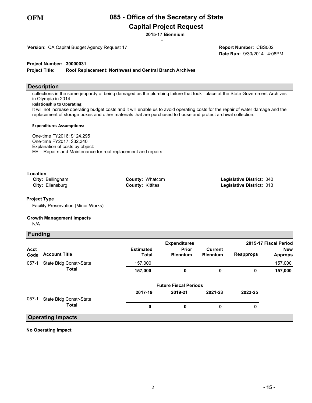# **Capital Project Request**

\* **2015-17 Biennium**

**Version:** CA Capital Budget Agency Request 17

**Date Run:** 9/30/2014 4:08PM **Report Number:** CBS002

**Project Number: 30000031**

**Project Title: Roof Replacement: Northwest and Central Branch Archives**

#### **Description**

collections in the same jeopardy of being damaged as the plumbing failure that took –place at the State Government Archives in Olympia in 2014.

#### **Relationship to Operating:**

It will not increase operating budget costs and it will enable us to avoid operating costs for the repair of water damage and the replacement of storage boxes and other materials that are purchased to house and protect archival collection.

#### **Expenditures Assumptions:**

One-time FY2016: \$124,295 One-time FY2017: \$32,340 Explanation of costs by object: EE – Repairs and Maintenance for roof replacement and repairs

#### **Location**

| <b>City: Bellingham</b> | <b>County: Whatcom</b>  | <b>Legislative District: 040</b> |
|-------------------------|-------------------------|----------------------------------|
| <b>City: Ellensburg</b> | <b>County: Kittitas</b> | <b>Legislative District: 013</b> |

#### **Project Type**

Facility Preservation (Minor Works)

#### **Growth Management impacts**

N/A

#### **Funding**

|              |                          |                           | <b>Expenditures</b>             |                            |                  | 2015-17 Fiscal Period        |
|--------------|--------------------------|---------------------------|---------------------------------|----------------------------|------------------|------------------------------|
| Acct<br>Code | <b>Account Title</b>     | <b>Estimated</b><br>Total | <b>Prior</b><br><b>Biennium</b> | Current<br><b>Biennium</b> | <b>Reapprops</b> | <b>New</b><br><b>Approps</b> |
| $057-1$      | State Bldg Constr-State  | 157,000                   |                                 |                            |                  | 157,000                      |
|              | <b>Total</b>             | 157,000                   | 0                               | 0                          | 0                | 157,000                      |
|              |                          |                           | <b>Future Fiscal Periods</b>    |                            |                  |                              |
|              |                          | 2017-19                   | 2019-21                         | 2021-23                    | 2023-25          |                              |
| $057-1$      | State Bldg Constr-State  |                           |                                 |                            |                  |                              |
|              | <b>Total</b>             | 0                         | 0                               | 0                          | 0                |                              |
|              | <b>Operating Impacts</b> |                           |                                 |                            |                  |                              |

#### **No Operating Impact**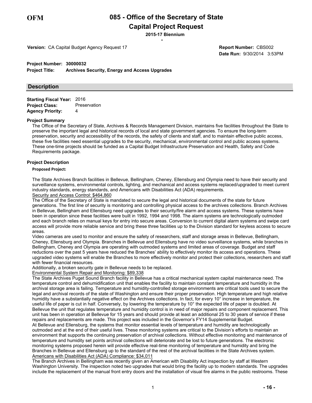# **Capital Project Request**

\* **2015-17 Biennium**

**Version:** CA Capital Budget Agency Request 17

**Date Run:** 9/30/2014 3:53PM **Report Number:** CBS002

#### **Project Number: 30000032**

**Project Title: Archives Security, Energy and Access Upgrades**

#### **Description**

| <b>Starting Fiscal Year: 2016</b> |              |
|-----------------------------------|--------------|
| <b>Project Class:</b>             | Preservation |
| <b>Agency Priority:</b>           | 4            |

#### **Project Summary**

The Office of the Secretary of State, Archives & Records Management Division, maintains five facilities throughout the State to preserve the important legal and historical records of local and state government agencies. To ensure the long-term preservation, security and accessibility of the records, the safety of clients and staff, and to maintain effective public access, these five facilities need essential upgrades to the security, mechanical, environmental control and public access systems. These one-time projects should be funded as a Capital Budget Infrastructure Preservation and Health, Safety and Code Requirements package.

#### **Project Description**

#### **Proposed Project:**

The State Archives Branch facilities in Bellevue, Bellingham, Cheney, Ellensburg and Olympia need to have their security and surveillance systems, environmental controls, lighting, and mechanical and access systems replaced/upgraded to meet current industry standards, energy standards, and Americans with Disabilities Act (ADA) requirements.

#### Security and Access Control: \$464,860

The Office of the Secretary of State is mandated to secure the legal and historical documents of the state for future generations. The first line of security is monitoring and controlling physical access to the archives collections. Branch Archives in Bellevue, Bellingham and Ellensburg need upgrades to their security/fire alarm and access systems. These systems have been in operation since these facilities were built in 1992, 1994 and 1998. The alarm systems are technologically outmoded and each branch relies on manual keys for entry into secure areas. Conversion to current digital alarm systems and swipe card access will provide more reliable service and bring these three facilities up to the Division standard for keyless access to secure areas.

Video cameras are used to monitor and ensure the safety of researchers, staff and storage areas in Bellevue, Bellingham, Cheney, Ellensburg and Olympia. Branches in Bellevue and Ellensburg have no video surveillance systems, while branches in Bellingham, Cheney and Olympia are operating with outmoded systems and limited areas of coverage. Budget and staff reductions over the past 5 years have reduced the Branches' ability to effectively monitor its access and operations. These upgraded video systems will enable the Branches to more effectively monitor and protect their collections, researchers and staff with fewer financial resources.

Additionally, a broken security gate in Bellevue needs to be replaced.

Environmental System Repair and Monitoring: \$89,338

The State Archives Puget Sound Branch facility in Bellevue has a critical mechanical system capital maintenance need. The temperature control and dehumidification unit that enables the facility to maintain constant temperature and humidity in the archival storage area is failing. Temperature and humidity-controlled storage environments are critical tools used to secure the legal and archival records of the state of Washington and ensure their proper preservation. High temperature and high relative humidity have a substantially negative effect on the Archives collections. In fact, for every 10° increase in temperature, the useful life of paper is cut in half. Conversely, by lowering the temperature by 10° the expected life of paper is doubled. At Bellevue the unit that regulates temperature and humidity control is in need of major repairs and component replacement. This unit has been in operation at Bellevue for 15 years and should provide at least an additional 25 to 30 years of service if these repairs and replacements are made. This project was included in the Governor's FY14 Supplemental Budget. At Bellevue and Ellensburg, the systems that monitor essential levels of temperature and humidity are technologically outmoded and at the end of their useful lives. These monitoring systems are critical to the Division's efforts to maintain an environment that supports the continuing preservation of archival collections. Without effective monitoring and maintenance of temperature and humidity set points archival collections will deteriorate and be lost to future generations. The electronic monitoring systems proposed herein will provide effective real-time monitoring of temperature and humidity and bring the Branches in Bellevue and Ellensburg up to the standard of the rest of the archival facilities in the State Archives system. Americans with Disabilities Act (ADA) Compliance: \$34,011

The Branch Archives in Bellingham was recently given an American with Disability Act inspection by staff at Western Washington University. The inspection noted two upgrades that would bring the facility up to modern standards. The upgrades include the replacement of the manual front entry doors and the installation of visual fire alarms in the public restrooms. These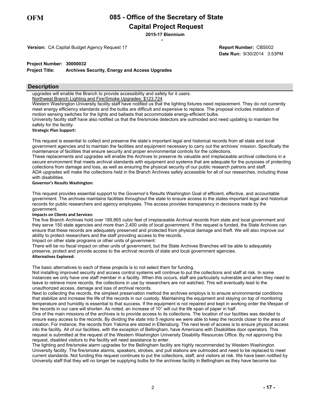# **Capital Project Request**

\* **2015-17 Biennium**

**Version:** CA Capital Budget Agency Request 17

**Date Run:** 9/30/2014 3:53PM **Report Number:** CBS002

#### **Project Number: 30000032**

**Project Title: Archives Security, Energy and Access Upgrades**

#### **Description**

upgrades will enable the Branch to provide accessibility and safety for it users.

Northwest Branch Lighting and Fire/Smoke Upgrades: \$123,724

Western Washington University facility staff have notified us that the lighting fixtures need replacement. They do not currently meet energy efficiency standards and the bulbs are difficult and expensive to replace. The proposal includes installation of motion sensing switches for the lights and ballasts that accommodate energy-efficient bulbs.

University facility staff have also notified us that the fire/smoke detectors are outmoded and need updating to maintain fire safety for the facility.

#### **Strategic Plan Support:**

This request is essential to collect and preserve the state's important legal and historical records from all state and local government agencies and to maintain the facilities and equipment necessary to carry out the archives' mission. Specifically the maintenance of facilities that ensure security and proper environmental controls for the collections.

These replacements and upgrades will enable the Archives to preserve its valuable and irreplaceable archival collections in a secure environment that meets archival standards with equipment and systems that are adequate for the purposes of protecting collections from damage and loss, as well as ensuring the physical security of our public research patrons and staff. ADA upgrades will make the collections held in the Branch Archives safely accessible for all of our researches, including those with disabilities.

#### **Governor's Results Washington:**

This request provides essential support to the Governor's Results Washington Goal of efficient, effective, and accountable government. The archives maintains facilities throughout the state to ensure access to the states important legal and historical records for public researchers and agency employees. This access provides transparency in decisions made by the government.

#### **Impacts on Clients and Services:**

The five Branch Archives hold over 189,865 cubic feet of irreplaceable Archival records from state and local government and they serve 150 state agencies and more than 2,400 units of local government. If the request is funded, the State Archives can ensure that these records are adequately preserved and protected from physical damage and theft. We will also improve our ability to protect researchers and the staff providing access to the records.

Impact on other state programs or other units of government:

There will be no fiscal impact on other units of government, but the State Archives Branches will be able to adequately preserve, protect and provide access to the archival records of state and local government agencies. **Alternatives Explored:** 

The basic alternatives to each of these projects is to not select them for funding.

Not installing improved security and access control systems will continue to put the collections and staff at risk. In some instances we only have one staff member in a facility. When this occurs, staff are particularly vulnerable and when they need to leave to retrieve more records, the collections in use by researchers are not watched. This will eventually lead to the unauthorized access, damage and loss of archival records.

Next to collecting the records, the simplest preservation method the archives employs is to ensure environmental conditions that stabilize and increase the life of the records in our custody. Maintaining the equipment and staying on top of monitoring temperature and humidity is essential to that success. If the equipment is not repaired and kept in working order the lifespan of the records in our care will shorten. As noted, an increase of 10° will cut the life span of paper in half.

One of the main missions of the archives is to provide access to its collections. The location of our facilities was decided to ensure easy access to the records. By dividing the state into 5 regions we were able to keep the records closer to the area of creation. For instance, the records from Yakima are stored in Ellensburg. The next level of access is to ensure physical access into the facility. All of our facilities, with the exception of Bellingham, have Americans with Disabilities door operators. This request is submitted at the request of the Western Washington University Disability Resources Office. By not approving this request, disabled visitors to the facility will need assistance to enter.

The lighting and fire/smoke alarm upgrades for the Bellingham facility are highly recommended by Western Washington University facility. The fire/smoke alarms, speakers, strobes, and pull stations are outmoded and need to be replaced to meet current standards. Not funding this request continues to put the collections, staff, and visitors at risk. We have been notified by University staff that they will no longer be supplying bulbs for the archives facility in Bellingham as they have become too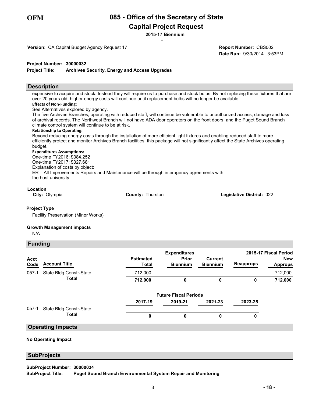**Capital Project Request**

\* **2015-17 Biennium**

**Version:** CA Capital Budget Agency Request 17

**Date Run:** 9/30/2014 3:53PM **Report Number:** CBS002

**Project Number: 30000032**

**Project Title: Archives Security, Energy and Access Upgrades**

#### **Description**

expensive to acquire and stock. Instead they will require us to purchase and stock bulbs. By not replacing these fixtures that are over 20 years old, higher energy costs will continue until replacement bulbs will no longer be available. **Effects of Non-Funding:** 

See Alternatives explored by agency.

The five Archives Branches, operating with reduced staff, will continue be vulnerable to unauthorized access, damage and loss of archival records. The Northwest Branch will not have ADA door operators on the front doors, and the Puget Sound Branch climate control system will continue to be at risk.

#### **Relationship to Operating:**

Beyond reducing energy costs through the installation of more efficient light fixtures and enabling reduced staff to more efficiently protect and monitor Archives Branch facilities, this package will not significantly affect the State Archives operating budget.

#### **Expenditures Assumptions:**

One-time FY2016: \$384,252 One-time FY2017: \$327,681 Explanation of costs by object: ER – All Improvements Repairs and Maintenance will be through interagency agreements with the host university.

#### **Location**

**City:** Olympia **County:** Thurston **Legislative District:** 022

#### **Project Type**

Facility Preservation (Minor Works)

#### **Growth Management impacts**

N/A

 **Funding**

| <u>i ununiy</u> |                         |                           | 2015-17 Fiscal Period                           |                            |                  |                              |
|-----------------|-------------------------|---------------------------|-------------------------------------------------|----------------------------|------------------|------------------------------|
| Acct<br>Code    | <b>Account Title</b>    | <b>Estimated</b><br>Total | <b>Expenditures</b><br>Prior<br><b>Biennium</b> | Current<br><b>Biennium</b> | <b>Reapprops</b> | <b>New</b><br><b>Approps</b> |
| $057-1$         | State Bldg Constr-State | 712,000                   |                                                 |                            |                  | 712,000                      |
|                 | <b>Total</b>            | 712,000                   | 0                                               | 0                          | 0                | 712,000                      |
|                 |                         |                           | <b>Future Fiscal Periods</b>                    |                            |                  |                              |
|                 |                         | 2017-19                   | 2019-21                                         | 2021-23                    | 2023-25          |                              |
| $057-1$         | State Bldg Constr-State |                           |                                                 |                            |                  |                              |
|                 | <b>Total</b>            | 0                         | 0                                               | 0                          | 0                |                              |

#### **Operating Impacts**

#### **No Operating Impact**

#### **SubProjects**

**SubProject Title: SubProject Number: 30000034 Puget Sound Branch Environmental System Repair and Monitoring**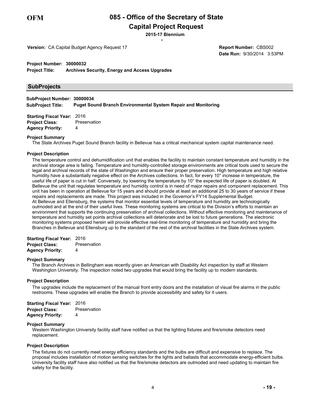# **Capital Project Request**

\* **2015-17 Biennium**

**Version:** CA Capital Budget Agency Request 17

**Date Run:** 9/30/2014 3:53PM **Report Number:** CBS002

**Project Number: 30000032**

**Project Title: Archives Security, Energy and Access Upgrades**

#### **SubProjects**

**SubProject Title: SubProject Number: 30000034 Puget Sound Branch Environmental System Repair and Monitoring**

| <b>Starting Fiscal Year: 2016</b> |              |
|-----------------------------------|--------------|
| <b>Project Class:</b>             | Preservation |
| <b>Agency Priority:</b>           | 4            |

#### **Project Summary**

The State Archives Puget Sound Branch facility in Bellevue has a critical mechanical system capital maintenance need.

#### **Project Description**

The temperature control and dehumidification unit that enables the facility to maintain constant temperature and humidity in the archival storage area is failing. Temperature and humidity-controlled storage environments are critical tools used to secure the legal and archival records of the state of Washington and ensure their proper preservation. High temperature and high relative humidity have a substantially negative effect on the Archives collections. In fact, for every 10° increase in temperature, the useful life of paper is cut in half. Conversely, by lowering the temperature by 10° the expected life of paper is doubled. At Bellevue the unit that regulates temperature and humidity control is in need of major repairs and component replacement. This unit has been in operation at Bellevue for 15 years and should provide at least an additional 25 to 30 years of service if these repairs and replacements are made. This project was included in the Governor's FY14 Supplemental Budget. At Bellevue and Ellensburg, the systems that monitor essential levels of temperature and humidity are technologically outmoded and at the end of their useful lives. These monitoring systems are critical to the Division's efforts to maintain an environment that supports the continuing preservation of archival collections. Without effective monitoring and maintenance of temperature and humidity set points archival collections will deteriorate and be lost to future generations. The electronic monitoring systems proposed herein will provide effective real-time monitoring of temperature and humidity and bring the Branches in Bellevue and Ellensburg up to the standard of the rest of the archival facilities in the State Archives system.

| <b>Starting Fiscal Year: 2016</b> |              |
|-----------------------------------|--------------|
| <b>Project Class:</b>             | Preservation |
| <b>Agency Priority:</b>           | 4            |

#### **Project Summary**

The Branch Archives in Bellingham was recently given an American with Disability Act inspection by staff at Western Washington University. The inspection noted two upgrades that would bring the facility up to modern standards.

#### **Project Description**

The upgrades include the replacement of the manual front entry doors and the installation of visual fire alarms in the public restrooms. These upgrades will enable the Branch to provide accessibility and safety for it users.

| <b>Starting Fiscal Year: 2016</b> |              |
|-----------------------------------|--------------|
| Project Class:                    | Preservation |
| Agency Priority:                  | 4            |

#### **Project Summary**

Western Washington University facility staff have notified us that the lighting fixtures and fire/smoke detectors need replacement.

#### **Project Description**

The fixtures do not currently meet energy efficiency standards and the bulbs are difficult and expensive to replace. The proposal includes installation of motion sensing switches for the lights and ballasts that accommodate energy-efficient bulbs. University facility staff have also notified us that the fire/smoke detectors are outmoded and need updating to maintain fire safety for the facility.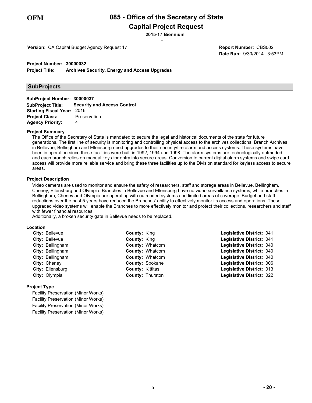# **Capital Project Request**

\* **2015-17 Biennium**

**Version:** CA Capital Budget Agency Request 17

**Date Run:** 9/30/2014 3:53PM **Report Number:** CBS002

**Project Number: 30000032**

**Project Title: Archives Security, Energy and Access Upgrades**

#### **SubProjects**

| SubProject Number: 30000037       |                                               |
|-----------------------------------|-----------------------------------------------|
|                                   | SubProject Title: Security and Access Control |
| <b>Starting Fiscal Year: 2016</b> |                                               |
| <b>Project Class:</b>             | Preservation                                  |
| <b>Agency Priority:</b>           | 4                                             |

#### **Project Summary**

The Office of the Secretary of State is mandated to secure the legal and historical documents of the state for future generations. The first line of security is monitoring and controlling physical access to the archives collections. Branch Archives in Bellevue, Bellingham and Ellensburg need upgrades to their security/fire alarm and access systems. These systems have been in operation since these facilities were built in 1992, 1994 and 1998. The alarm systems are technologically outmoded and each branch relies on manual keys for entry into secure areas. Conversion to current digital alarm systems and swipe card access will provide more reliable service and bring these three facilities up to the Division standard for keyless access to secure areas.

#### **Project Description**

Video cameras are used to monitor and ensure the safety of researchers, staff and storage areas in Bellevue, Bellingham, Cheney, Ellensburg and Olympia. Branches in Bellevue and Ellensburg have no video surveillance systems, while branches in Bellingham, Cheney and Olympia are operating with outmoded systems and limited areas of coverage. Budget and staff reductions over the past 5 years have reduced the Branches' ability to effectively monitor its access and operations. These upgraded video systems will enable the Branches to more effectively monitor and protect their collections, researchers and staff with fewer financial resources.

Additionally, a broken security gate in Bellevue needs to be replaced.

#### **Location**

| <b>County: King</b>                                                                                                                                                    | Legislative District: 041 |  |
|------------------------------------------------------------------------------------------------------------------------------------------------------------------------|---------------------------|--|
| <b>County: King</b>                                                                                                                                                    | Legislative District: 041 |  |
| <b>County: Whatcom</b>                                                                                                                                                 | Legislative District: 040 |  |
| <b>County: Whatcom</b>                                                                                                                                                 | Legislative District: 040 |  |
| <b>County: Whatcom</b>                                                                                                                                                 | Legislative District: 040 |  |
| County: Spokane                                                                                                                                                        | Legislative District: 006 |  |
| <b>County: Kittitas</b>                                                                                                                                                | Legislative District: 013 |  |
| <b>County: Thurston</b>                                                                                                                                                | Legislative District: 022 |  |
| <b>City: Bellevue</b><br>City: Bellevue<br><b>City: Bellingham</b><br>City: Bellingham<br>City: Bellingham<br>City: Cheney<br><b>City: Ellensburg</b><br>City: Olympia |                           |  |

#### **Project Type**

Facility Preservation (Minor Works) Facility Preservation (Minor Works) Facility Preservation (Minor Works) Facility Preservation (Minor Works)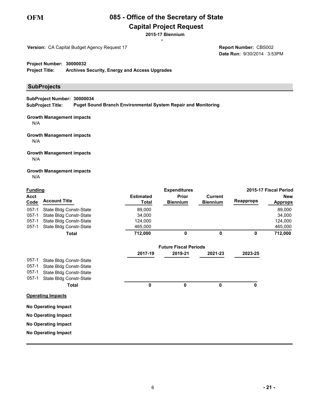

# **Capital Project Request**

\* **2015-17 Biennium**

**Version:** CA Capital Budget Agency Request 17

**Date Run:** 9/30/2014 3:53PM **Report Number:** CBS002

**Project Number: 30000032**

**Project Title: Archives Security, Energy and Access Upgrades**

#### **SubProjects**

**SubProject Title: SubProject Number: 30000034 Puget Sound Branch Environmental System Repair and Monitoring**

#### **Growth Management impacts** N/A

#### **Growth Management impacts** N/A

#### **Growth Management impacts** N/A

# **Growth Management impacts**

N/A

| <b>Funding</b> |                            |                           | <b>Expenditures</b>             |                                   |                  | 2015-17 Fiscal Period        |
|----------------|----------------------------|---------------------------|---------------------------------|-----------------------------------|------------------|------------------------------|
| Acct<br>Code   | <b>Account Title</b>       | <b>Estimated</b><br>Total | <b>Prior</b><br><b>Biennium</b> | <b>Current</b><br><b>Biennium</b> | <b>Reapprops</b> | <b>New</b><br><b>Approps</b> |
| $057 - 1$      | State Bldg Constr-State    | 89,000                    |                                 |                                   |                  | 89,000                       |
| $057 - 1$      | State Bldg Constr-State    | 34,000                    |                                 |                                   |                  | 34,000                       |
| $057-1$        | State Bldg Constr-State    | 124,000                   |                                 |                                   |                  | 124,000                      |
| $057-1$        | State Bldg Constr-State    | 465,000                   |                                 |                                   |                  | 465,000                      |
|                | <b>Total</b>               | 712,000                   | 0                               | 0                                 | 0                | 712,000                      |
|                |                            |                           | <b>Future Fiscal Periods</b>    |                                   |                  |                              |
|                |                            | 2017-19                   | 2019-21                         | 2021-23                           | 2023-25          |                              |
| $057-1$        | State Bldg Constr-State    |                           |                                 |                                   |                  |                              |
| $057-1$        | State Bldg Constr-State    |                           |                                 |                                   |                  |                              |
| $057-1$        | State Bldg Constr-State    |                           |                                 |                                   |                  |                              |
| $057-1$        | State Bldg Constr-State    |                           |                                 |                                   |                  |                              |
|                | Total                      | 0                         | 0                               | 0                                 | 0                |                              |
|                | <b>Operating Impacts</b>   |                           |                                 |                                   |                  |                              |
|                | <b>No Operating Impact</b> |                           |                                 |                                   |                  |                              |
|                | <b>No Operating Impact</b> |                           |                                 |                                   |                  |                              |
|                | <b>No Operating Impact</b> |                           |                                 |                                   |                  |                              |
|                | <b>No Operating Impact</b> |                           |                                 |                                   |                  |                              |
|                |                            |                           |                                 |                                   |                  |                              |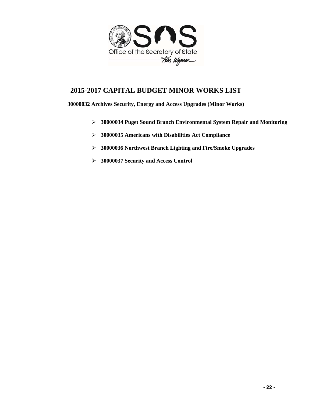

# **2015-2017 CAPITAL BUDGET MINOR WORKS LIST**

**30000032 Archives Security, Energy and Access Upgrades (Minor Works)** 

- **30000034 Puget Sound Branch Environmental System Repair and Monitoring**
- **30000035 Americans with Disabilities Act Compliance**
- **30000036 Northwest Branch Lighting and Fire/Smoke Upgrades**
- **30000037 Security and Access Control**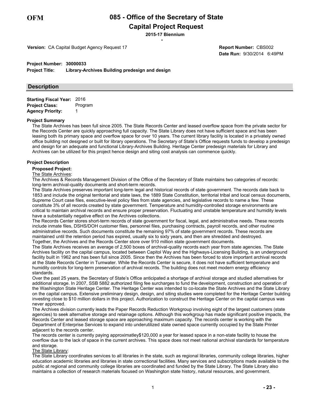# **Capital Project Request**

\* **2015-17 Biennium**

**Version:** CA Capital Budget Agency Request 17

**Date Run:** 9/30/2014 6:49PM **Report Number:** CBS002

#### **Project Number: 30000033**

**Project Title: Library-Archives Building predesign and design**

#### **Description**

**Starting Fiscal Year:** 2016 **Project Class:** Program **Agency Priority:** 1

#### **Project Summary**

The State Archives has been full since 2005. The State Records Center and leased overflow space from the private sector for the Records Center are quickly approaching full capacity. The State Library does not have sufficient space and has been leasing both its primary space and overflow space for over 10 years. The current library facility is located in a privately owned office building not designed or built for library operations. The Secretary of State's Office requests funds to develop a predesign and design for an adequate and functional Library-Archives Building. Heritage Center predesign materials for Library and Archives can be utilized for this project hence design and siting cost analysis can commence quickly.

#### **Project Description**

#### **Proposed Project:**

#### The State Archives:

The Archives & Records Management Division of the Office of the Secretary of State maintains two categories of records: long-term archival-quality documents and short-term records.

The State Archives preserves important long-term legal and historical records of state government. The records date back to 1853 and include the original territorial and state laws, the 1889 State Constitution, territorial tribal and local census documents, Supreme Court case files, executive-level policy files from state agencies, and legislative records to name a few. These constitute 3% of all records created by state government. Temperature and humidity-controlled storage environments are critical to maintain archival records and ensure proper preservation. Fluctuating and unstable temperature and humidity levels have a substantially negative effect on the Archives collections.

The Records Center stores short-term records of state government for fiscal, legal, and administrative needs. These records include inmate files, DSHS/DOH customer files, personnel files, purchasing contracts, payroll records, and other routine administrative records. Such documents constitute the remaining 97% of state government records. These records are maintained until the retention period has expired, usually six to sixty years, and then are shredded and destroyed. Together, the Archives and the Records Center store over 910 million state government documents.

The State Archives receives an average of 2,500 boxes of archival-quality records each year from state agencies. The State Archives facility on the capital campus, located between Capitol Way and the Highways-Licensing Building, is an underground facility built in 1962 and has been full since 2005. Since then the Archives has been forced to store important archival records at the State Records Center in Tumwater. While the Records Center is secure, it does not have sufficient temperature and humidity controls for long-term preservation of archival records. The building does not meet modern energy efficiency standards.

Over the past 25 years, the Secretary of State's Office anticipated a shortage of archival storage and studied alternatives for additional storage. In 2007, SSB 5882 authorized filing fee surcharges to fund the development, construction and operation of the Washington State Heritage Center. The Heritage Center was intended to co-locate the State Archives and the State Library on the capital campus. Extensive preliminary design, design, and siting studies were completed for the Heritage Center building investing close to \$10 million dollars in this project. Authorization to construct the Heritage Center on the capital campus was never approved.

The Archives division currently leads the Paper Records Reduction Workgroup involving eight of the largest customers (state agencies) to seek alternative storage and retainage options. Although this workgroup has made significant positive impacts, the Records Center and leased storage space are approaching maximum capacity. The records center is working with the Department of Enterprise Services to expand into underutilized state owned space currently occupied by the State Printer adjacent to the records center.

The records center is currently paying approximatley\$120,000 a year for leased space in a non-state facility to house the overflow due to the lack of space in the current archives. This space does not meet national archival standards for temperature and storage.

#### The State Library:

The State Library coordinates services to all libraries in the state, such as regional libraries, community college libraries, higher education academic libraries and libraries in state correctional facilities. Many services and subscriptions made available to the public at regional and community college libraries are coordinated and funded by the State Library. The State Library also maintains a collection of research materials focused on Washington state history, natural resources, and government.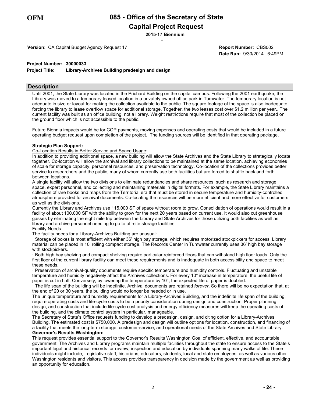**Capital Project Request**

\* **2015-17 Biennium**

**Version:** CA Capital Budget Agency Request 17

**Date Run:** 9/30/2014 6:49PM **Report Number:** CBS002

#### **Project Number: 30000033**

**Project Title: Library-Archives Building predesign and design**

#### **Description**

Until 2001, the State Library was located in the Prichard Building on the capital campus. Following the 2001 earthquake, the Library was moved to a temporary leased location in a privately owned office park in Tumwater. The temporary location is not adequate in size or layout for making the collection available to the public. The square footage of the space is also inadequate forcing the library to lease overflow space for additional storage. Together, the two leases cost over \$1.2 million per year.. The current facility was built as an office building, not a library. Weight restrictions require that most of the collection be placed on the ground floor which is not accessible to the public.

Future Biennia impacts would be for COP payments, moving expenses and operating costs that would be included in a future operating budget request upon completion of the project. The funding sources will be identified in that operating package.

#### **Strategic Plan Support:**

Co-Location Results in Better Service and Space Usage:

In addition to providing additional space, a new building will allow the State Archives and the State Library to strategically locate together. Co-location will allow the archival and library collections to be maintained at the same location, achieving economies of scale for storage capacity, personnel resources, and preservation technology. Co-location of the collections provides better service to researchers and the public, many of whom currently use both facilities but are forced to shuffle back and forth between locations.

A single facility will allow the two divisions to eliminate redundancies and share resources, such as research and storage space, expert personnel, and collecting and maintaining materials in digital formats. For example, the State Library maintains a collection of rare books and maps from the Territorial era that must be stored in secure temperature and humidity-controlled atmosphere provided for archival documents. Co-locating the resources will be more efficient and more effective for customers as well as the divisions.

Currently the Library and Archives use 115,000 SF of space without room to grow. Consolidation of operations would result in a facility of about 100,000 SF with the ability to grow for the next 20 years based on current use. It would also cut greenhouse gasses by eliminating the eight mile trip between the Library and State Archives for those utilizing both facilities as well as library and archive personnel needing to go to off-site storage facilities.

#### Facility Needs:

The facility needs for a Library-Archives Building are unusual:

· Storage of boxes is most efficient with either 36' high bay storage, which requires motorized stockpickers for access. Library material can be placed in 10' rolling compact storage. The Records Center in Tumwater currently uses 36' high bay storage with stockpickers.

· Both high bay shelving and compact shelving require particular reinforced floors that can withstand high floor loads. Only the first floor of the current library facility can meet these requirements and is inadequate in both accessibility and space to meet these needs.

· Preservation of archival-quality documents require specific temperature and humidity controls. Fluctuating and unstable temperature and humidity negatively affect the Archives collections. For every 10° increase in temperature, the useful life of paper is cut in half. Conversely, by lowering the temperature by 10°, the expected life of paper is doubled.

· The life span of the building will be indefinite. Archival documents are retained *forever*. So there will be no expectation that, at the end of 20 or 30 years, the building would no longer be needed or in use.

The unique temperature and humidity requirements for a Library-Archives Building, and the indefinite life span of the building, require operating costs and life-cycle costs to be a priority consideration during design and construction. Proper planning, design, and construction that include life-cycle cost analysis and energy efficiency measures will keep the operating costs of the building, and the climate control system in particular, manageable.

The Secretary of State's Office requests funding to develop a predesign, design, and citing option for a Library-Archives Building. The estimated cost is \$750,000. A predesign and design will outline options for location, construction, and financing of a facility that meets the long-term storage, customer-service, and operational needs of the State Archives and State Library. **Governor's Results Washington:**

This request provides essential support to the Governor's Results Washington Goal of efficient, effective, and accountable government. The Archives and Library programs maintain multiple facilities throughout the state to ensure access to the State's important legal and historical records for review, inspection and education by individuals spanning many walks of life. These individuals might include, Legislative staff, historians, educators, students, local and state employees, as well as various other Washington residents and visitors. This access provides transparency in decision made by the government as well as providing an opportunity for education.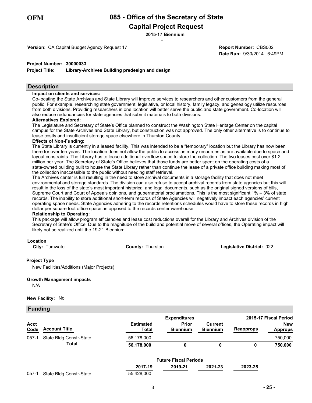**Capital Project Request**

\* **2015-17 Biennium**

**Version:** CA Capital Budget Agency Request 17

**Date Run:** 9/30/2014 6:49PM **Report Number:** CBS002

#### **Project Number: 30000033**

**Project Title: Library-Archives Building predesign and design**

#### **Description**

#### **Impact on clients and services:**

Co-locating the State Archives and State Library will improve services to researchers and other customers from the general public. For example, researching state government, legislative, or local history, family legacy, and genealogy utilize resources from both divisions. Providing researchers in one location will better serve the public and state government. Co-location will also reduce redundancies for state agencies that submit materials to both divisions.

#### **Alternatives Explored:**

The Legislature and Secretary of State's Office planned to construct the Washington State Heritage Center on the capital campus for the State Archives and State Library, but construction was not approved. The only other alternative is to continue to lease costly and insufficient storage space elsewhere in Thurston County.

#### **Effects of Non-Funding:**

The State Library is currently in a leased facility. This was intended to be a "temporary" location but the Library has now been there for over ten years. The location does not allow the public to access as many resources as are available due to space and layout constraints. The Library has to lease additional overflow space to store the collection. The two leases cost over \$1.2 million per year. The Secretary of State's Office believes that those funds are better spent on the operating costs of a state-owned building built to house the State Library rather than continue the lease of a private office building making most of the collection inaccessible to the public without needing staff retrieval.

The Archives center is full resulting in the need to store archival documents in a storage facility that does not meet environmental and storage standards. The division can also refuse to accept archival records from state agencies but this will result in the loss of the state's most important historical and legal documents, such as the original signed versions of bills, Supreme Court and Court of Appeals opinions, and gubernatorial proclamations. This is the most significant 1% – 3% of state records. The inability to store additional short-term records of State Agencies will negatively impact each agencies' current operating space needs. State Agencies adhering to the records retentions schedules would have to store these records in high dollar per square foot office space as opposed to the records center warehouse.

#### **Relationship to Operating:**

This package will allow program efficiencies and lease cost reductions overall for the Library and Archives division of the Secretary of State's Office. Due to the magnitude of the build and potential move of several offices, the Operating impact will likely not be realized until the 19-21 Biennium.

#### **Location**

**City:** Tumwater **County:** Thurston **Legislative District:** 022

#### **Project Type**

New Facilities/Additions (Major Projects)

#### **Growth Management impacts**

N/A

#### **New Facility:** No

#### **Funding**

|                     |                         |                                  | <b>Expenditures</b>          |                                   |                  | 2015-17 Fiscal Period        |
|---------------------|-------------------------|----------------------------------|------------------------------|-----------------------------------|------------------|------------------------------|
| <b>Acct</b><br>Code | <b>Account Title</b>    | <b>Estimated</b><br><b>Total</b> | Prior<br><b>Biennium</b>     | <b>Current</b><br><b>Biennium</b> | <b>Reapprops</b> | <b>New</b><br><b>Approps</b> |
| $057-1$             | State Bldg Constr-State | 56,178,000                       |                              |                                   |                  | 750,000                      |
|                     | <b>Total</b>            | 56,178,000                       | 0                            | 0                                 | 0                | 750,000                      |
|                     |                         |                                  | <b>Future Fiscal Periods</b> |                                   |                  |                              |
|                     |                         | 2017-19                          | 2019-21                      | 2021-23                           | 2023-25          |                              |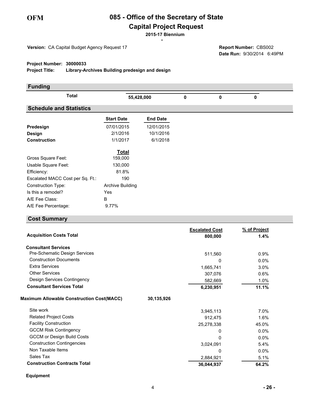# **085 - Office of the Secretary of State**

# **Capital Project Request**

\* **2015-17 Biennium**

**Version:** CA Capital Budget Agency Request 17

**Date Run:** 9/30/2014 6:49PM **Report Number:** CBS002

#### **Project Number: 30000033**

**Project Title: Library-Archives Building predesign and design**

| <b>Funding</b>                   |                         |                 |   |   |             |  |
|----------------------------------|-------------------------|-----------------|---|---|-------------|--|
| <b>Total</b>                     | 55,428,000              |                 | 0 | 0 | $\mathbf 0$ |  |
| <b>Schedule and Statistics</b>   |                         |                 |   |   |             |  |
|                                  | <b>Start Date</b>       | <b>End Date</b> |   |   |             |  |
| Predesign                        | 07/01/2015              | 12/01/2015      |   |   |             |  |
| <b>Design</b>                    | 2/1/2016                | 10/1/2016       |   |   |             |  |
| <b>Construction</b>              | 1/1/2017                | 6/1/2018        |   |   |             |  |
|                                  | <b>Total</b>            |                 |   |   |             |  |
| Gross Square Feet:               | 159,000                 |                 |   |   |             |  |
| Usable Square Feet:              | 130,000                 |                 |   |   |             |  |
| Efficiency:                      | 81.8%                   |                 |   |   |             |  |
| Escalated MACC Cost per Sq. Ft.: | 190                     |                 |   |   |             |  |
| <b>Construction Type:</b>        | <b>Archive Building</b> |                 |   |   |             |  |
| Is this a remodel?               | Yes                     |                 |   |   |             |  |
| A/E Fee Class:                   | B                       |                 |   |   |             |  |
| A/E Fee Percentage:              | 9.77%                   |                 |   |   |             |  |

# **Cost Summary**

|                                                  | <b>Escalated Cost</b> | % of Project |
|--------------------------------------------------|-----------------------|--------------|
| <b>Acquisition Costs Total</b>                   | 800,000               | $1.4\%$      |
| <b>Consultant Services</b>                       |                       |              |
| Pre-Schematic Design Services                    | 511,560               | 0.9%         |
| <b>Construction Documents</b>                    | 0                     | 0.0%         |
| <b>Extra Services</b>                            | 1,665,741             | 3.0%         |
| <b>Other Services</b>                            | 307,076               | 0.6%         |
| Design Services Contingency                      | 582,669               | 1.0%         |
| <b>Consultant Services Total</b>                 | 6,230,951             | 11.1%        |
| <b>Maximum Allowable Construction Cost(MACC)</b> | 30,135,926            |              |
| Site work                                        | 3,945,113             | 7.0%         |
| <b>Related Project Costs</b>                     | 912,475               | 1.6%         |
| <b>Facility Construction</b>                     | 25,278,338            | 45.0%        |
| <b>GCCM Risk Contingency</b>                     | $\Omega$              | 0.0%         |
| <b>GCCM or Design Build Costs</b>                | $\Omega$              | $0.0\%$      |
| <b>Construction Contingencies</b>                | 3,024,091             | 5.4%         |
| Non Taxable Items                                | 0                     | 0.0%         |
| Sales Tax                                        | 2,884,921             | 5.1%         |
| <b>Construction Contracts Total</b>              | 36,044,937            | 64.2%        |

**Equipment**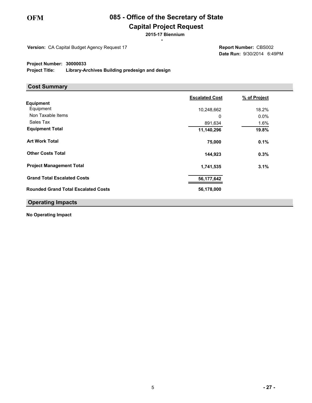# **085 - Office of the Secretary of State**

# **Capital Project Request**

\* **2015-17 Biennium**

**Version:** CA Capital Budget Agency Request 17

**Date Run:** 9/30/2014 6:49PM **Report Number:** CBS002

#### **Project Number: 30000033**

**Project Title: Library-Archives Building predesign and design**

#### **Cost Summary**

|                                            | <b>Escalated Cost</b> | % of Project |
|--------------------------------------------|-----------------------|--------------|
| Equipment                                  |                       |              |
| Equipment                                  | 10,248,662            | 18.2%        |
| Non Taxable Items                          | 0                     | $0.0\%$      |
| Sales Tax                                  | 891,634               | 1.6%         |
| <b>Equipment Total</b>                     | 11,140,296            | 19.8%        |
| <b>Art Work Total</b>                      | 75,000                | 0.1%         |
| <b>Other Costs Total</b>                   | 144,923               | 0.3%         |
| <b>Project Management Total</b>            | 1,741,535             | 3.1%         |
| <b>Grand Total Escalated Costs</b>         | 56,177,642            |              |
| <b>Rounded Grand Total Escalated Costs</b> | 56,178,000            |              |
| <b>Operating Impacts</b>                   |                       |              |

**No Operating Impact**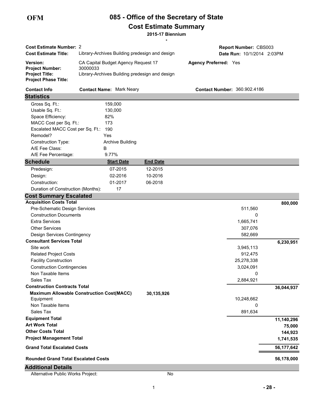# **085 - Office of the Secretary of State Cost Estimate Summary**

**2015-17 Biennium**

| <b>Cost Estimate Number: 2</b>                                                             |                                                                                                   | $\star$            | Report Number: CBS003               |            |
|--------------------------------------------------------------------------------------------|---------------------------------------------------------------------------------------------------|--------------------|-------------------------------------|------------|
| <b>Cost Estimate Title:</b>                                                                | Library-Archives Building predesign and design                                                    |                    | Date Run: 10/1/2014 2:03PM          |            |
| Version:<br><b>Project Number:</b><br><b>Project Title:</b><br><b>Project Phase Title:</b> | CA Capital Budget Agency Request 17<br>30000033<br>Library-Archives Building predesign and design |                    | <b>Agency Preferred: Yes</b>        |            |
| <b>Contact Info</b>                                                                        | <b>Contact Name: Mark Neary</b>                                                                   |                    | <b>Contact Number: 360.902.4186</b> |            |
| <b>Statistics</b>                                                                          |                                                                                                   |                    |                                     |            |
| Gross Sq. Ft.:                                                                             | 159,000                                                                                           |                    |                                     |            |
| Usable Sq. Ft.:                                                                            | 130,000                                                                                           |                    |                                     |            |
| Space Efficiency:                                                                          | 82%                                                                                               |                    |                                     |            |
| MACC Cost per Sq. Ft.:                                                                     | 173                                                                                               |                    |                                     |            |
| Escalated MACC Cost per Sq. Ft.:                                                           | 190                                                                                               |                    |                                     |            |
| Remodel?                                                                                   | Yes                                                                                               |                    |                                     |            |
| Construction Type:                                                                         | <b>Archive Building</b>                                                                           |                    |                                     |            |
| A/E Fee Class:<br>A/E Fee Percentage:                                                      | В<br>9.77%                                                                                        |                    |                                     |            |
| <b>Schedule</b>                                                                            | <b>Start Date</b>                                                                                 |                    |                                     |            |
|                                                                                            |                                                                                                   | <b>End Date</b>    |                                     |            |
| Predesign:                                                                                 | 07-2015<br>02-2016                                                                                | 12-2015<br>10-2016 |                                     |            |
| Design:<br>Construction:                                                                   | 01-2017                                                                                           |                    |                                     |            |
| Duration of Construction (Months):                                                         | 17                                                                                                | 06-2018            |                                     |            |
|                                                                                            |                                                                                                   |                    |                                     |            |
| <b>Cost Summary Escalated</b><br><b>Acquisition Costs Total</b>                            |                                                                                                   |                    |                                     |            |
| Pre-Schematic Design Services                                                              |                                                                                                   |                    | 511,560                             | 800,000    |
| <b>Construction Documents</b>                                                              |                                                                                                   |                    | 0                                   |            |
| <b>Extra Services</b>                                                                      |                                                                                                   |                    | 1,665,741                           |            |
| <b>Other Services</b>                                                                      |                                                                                                   |                    | 307,076                             |            |
| Design Services Contingency                                                                |                                                                                                   |                    | 582,669                             |            |
| <b>Consultant Services Total</b>                                                           |                                                                                                   |                    |                                     | 6,230,951  |
| Site work                                                                                  |                                                                                                   |                    | 3,945,113                           |            |
| <b>Related Project Costs</b>                                                               |                                                                                                   |                    | 912,475                             |            |
| <b>Facility Construction</b>                                                               |                                                                                                   |                    | 25,278,338                          |            |
| <b>Construction Contingencies</b>                                                          |                                                                                                   |                    | 3,024,091                           |            |
| Non Taxable Items                                                                          |                                                                                                   |                    | 0                                   |            |
| Sales Tax                                                                                  |                                                                                                   |                    | 2,884,921                           |            |
| <b>Construction Contracts Total</b>                                                        |                                                                                                   |                    |                                     | 36,044,937 |
|                                                                                            | <b>Maximum Allowable Construction Cost(MACC)</b>                                                  | 30,135,926         |                                     |            |
| Equipment                                                                                  |                                                                                                   |                    | 10,248,662                          |            |
| Non Taxable Items                                                                          |                                                                                                   |                    | 0                                   |            |
| Sales Tax                                                                                  |                                                                                                   |                    | 891,634                             |            |
| <b>Equipment Total</b>                                                                     |                                                                                                   |                    |                                     | 11,140,296 |
| <b>Art Work Total</b><br><b>Other Costs Total</b>                                          |                                                                                                   |                    |                                     | 75,000     |
|                                                                                            |                                                                                                   |                    |                                     | 144,923    |
| <b>Project Management Total</b>                                                            |                                                                                                   |                    |                                     | 1,741,535  |
| <b>Grand Total Escalated Costs</b>                                                         |                                                                                                   |                    |                                     | 56,177,642 |
| <b>Rounded Grand Total Escalated Costs</b>                                                 |                                                                                                   |                    |                                     | 56,178,000 |
| <b>Additional Details</b>                                                                  |                                                                                                   |                    |                                     |            |
| Alternative Public Works Project:                                                          |                                                                                                   | No                 |                                     |            |

**- 28 -**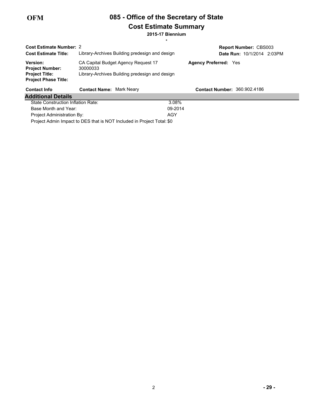# **085 - Office of the Secretary of State Cost Estimate Summary**

\* **2015-17 Biennium**

| <b>Cost Estimate Number: 2</b><br><b>Cost Estimate Title:</b>                                     | Library-Archives Building predesign and design                                                    |                              | <b>Report Number: CBS003</b><br>Date Run: 10/1/2014 2:03PM |
|---------------------------------------------------------------------------------------------------|---------------------------------------------------------------------------------------------------|------------------------------|------------------------------------------------------------|
| <b>Version:</b><br><b>Project Number:</b><br><b>Project Title:</b><br><b>Project Phase Title:</b> | CA Capital Budget Agency Request 17<br>30000033<br>Library-Archives Building predesign and design | <b>Agency Preferred: Yes</b> |                                                            |
| <b>Contact Info</b>                                                                               | <b>Contact Name: Mark Neary</b>                                                                   |                              | <b>Contact Number: 360.902.4186</b>                        |
| <b>Additional Details</b>                                                                         |                                                                                                   |                              |                                                            |
|                                                                                                   |                                                                                                   |                              |                                                            |
| State Construction Inflation Rate:                                                                |                                                                                                   | 3.08%                        |                                                            |
| Base Month and Year:                                                                              |                                                                                                   | 09-2014                      |                                                            |
| <b>Project Administration By:</b>                                                                 |                                                                                                   | AGY                          |                                                            |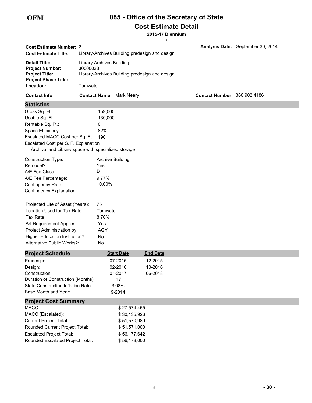# **085 - Office of the Secretary of State Cost Estimate Detail**

**2015-17 Biennium**

|                                                     |          |                                                |                                                |                 | $\star$ |                                     |                                   |
|-----------------------------------------------------|----------|------------------------------------------------|------------------------------------------------|-----------------|---------|-------------------------------------|-----------------------------------|
| <b>Cost Estimate Number: 2</b>                      |          |                                                |                                                |                 |         |                                     | Analysis Date: September 30, 2014 |
| <b>Cost Estimate Title:</b>                         |          | Library-Archives Building predesign and design |                                                |                 |         |                                     |                                   |
| <b>Detail Title:</b>                                |          | <b>Library Archives Building</b>               |                                                |                 |         |                                     |                                   |
| <b>Project Number:</b>                              | 30000033 |                                                |                                                |                 |         |                                     |                                   |
| <b>Project Title:</b>                               |          |                                                | Library-Archives Building predesign and design |                 |         |                                     |                                   |
| <b>Project Phase Title:</b><br>Location:            | Tumwater |                                                |                                                |                 |         |                                     |                                   |
| <b>Contact Info</b>                                 |          |                                                | <b>Contact Name: Mark Neary</b>                |                 |         | <b>Contact Number: 360.902.4186</b> |                                   |
| <b>Statistics</b>                                   |          |                                                |                                                |                 |         |                                     |                                   |
| Gross Sq. Ft.:                                      |          | 159,000                                        |                                                |                 |         |                                     |                                   |
| Usable Sq. Ft.:                                     |          | 130,000                                        |                                                |                 |         |                                     |                                   |
| Rentable Sq. Ft.:                                   |          | 0                                              |                                                |                 |         |                                     |                                   |
| Space Efficiency:                                   |          | 82%                                            |                                                |                 |         |                                     |                                   |
| Escalated MACC Cost per Sq. Ft.: 190                |          |                                                |                                                |                 |         |                                     |                                   |
| Escalated Cost per S. F. Explanation                |          |                                                |                                                |                 |         |                                     |                                   |
| Archival and Library space with specialized storage |          |                                                |                                                |                 |         |                                     |                                   |
| <b>Construction Type:</b>                           |          | <b>Archive Building</b>                        |                                                |                 |         |                                     |                                   |
| Remodel?                                            |          | Yes                                            |                                                |                 |         |                                     |                                   |
| A/E Fee Class:                                      |          | B                                              |                                                |                 |         |                                     |                                   |
| A/E Fee Percentage:                                 |          | 9.77%                                          |                                                |                 |         |                                     |                                   |
| Contingency Rate:                                   |          | 10.00%                                         |                                                |                 |         |                                     |                                   |
| <b>Contingency Explanation</b>                      |          |                                                |                                                |                 |         |                                     |                                   |
|                                                     |          |                                                |                                                |                 |         |                                     |                                   |
| Projected Life of Asset (Years):                    |          | 75                                             |                                                |                 |         |                                     |                                   |
| Location Used for Tax Rate:                         |          | Tumwater                                       |                                                |                 |         |                                     |                                   |
| Tax Rate:                                           |          | 8.70%                                          |                                                |                 |         |                                     |                                   |
| Art Requirement Applies:                            |          | Yes                                            |                                                |                 |         |                                     |                                   |
| Project Administration by:                          |          | <b>AGY</b>                                     |                                                |                 |         |                                     |                                   |
| Higher Education Institution?:                      |          | No                                             |                                                |                 |         |                                     |                                   |
| Alternative Public Works?:                          |          | No                                             |                                                |                 |         |                                     |                                   |
| <b>Project Schedule</b>                             |          |                                                | <b>Start Date</b>                              | <b>End Date</b> |         |                                     |                                   |
| Predesign:                                          |          |                                                | 07-2015                                        | 12-2015         |         |                                     |                                   |
| Design:                                             |          |                                                | 02-2016                                        | 10-2016         |         |                                     |                                   |
| Construction:                                       |          |                                                | 01-2017                                        | 06-2018         |         |                                     |                                   |
| Duration of Construction (Months):                  |          |                                                | 17                                             |                 |         |                                     |                                   |
| State Construction Inflation Rate:                  |          |                                                | 3.08%                                          |                 |         |                                     |                                   |
| Base Month and Year:                                |          |                                                | 9-2014                                         |                 |         |                                     |                                   |
| <b>Project Cost Summary</b>                         |          |                                                |                                                |                 |         |                                     |                                   |
| MACC:                                               |          |                                                | \$27,574,455                                   |                 |         |                                     |                                   |
| MACC (Escalated):                                   |          |                                                | \$30,135,926                                   |                 |         |                                     |                                   |
| <b>Current Project Total:</b>                       |          |                                                | \$51,570,989                                   |                 |         |                                     |                                   |
| Rounded Current Project Total:                      |          |                                                | \$51,571,000                                   |                 |         |                                     |                                   |
| <b>Escalated Project Total:</b>                     |          |                                                | \$56,177,642                                   |                 |         |                                     |                                   |
| Rounded Escalated Project Total:                    |          |                                                | \$56,178,000                                   |                 |         |                                     |                                   |
|                                                     |          |                                                |                                                |                 |         |                                     |                                   |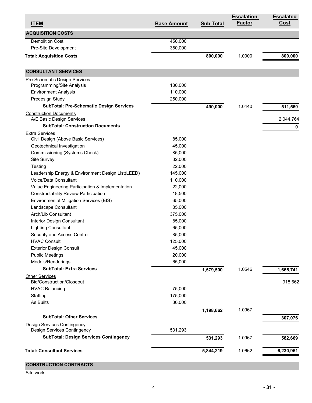| <b>ITEM</b>                                                | <b>Base Amount</b> | <b>Sub Total</b> | <b>Escalation</b><br><b>Factor</b> | <b>Escalated</b><br><b>Cost</b> |
|------------------------------------------------------------|--------------------|------------------|------------------------------------|---------------------------------|
| <b>ACQUISITION COSTS</b>                                   |                    |                  |                                    |                                 |
| <b>Demolition Cost</b>                                     | 450,000            |                  |                                    |                                 |
| Pre-Site Development                                       | 350,000            |                  |                                    |                                 |
| <b>Total: Acquisition Costs</b>                            |                    | 800,000          | 1.0000                             | 800,000                         |
| <b>CONSULTANT SERVICES</b>                                 |                    |                  |                                    |                                 |
| <b>Pre-Schematic Design Services</b>                       |                    |                  |                                    |                                 |
| Programming/Site Analysis                                  | 130,000            |                  |                                    |                                 |
| <b>Environment Analysis</b>                                | 110,000            |                  |                                    |                                 |
| Predesign Study                                            | 250,000            |                  |                                    |                                 |
| <b>SubTotal: Pre-Schematic Design Services</b>             |                    | 490,000          | 1.0440                             | 511,560                         |
| <b>Construction Documents</b><br>A/E Basic Design Services |                    |                  |                                    | 2,044,764                       |
| <b>SubTotal: Construction Documents</b>                    |                    |                  |                                    | 0                               |
| <b>Extra Services</b>                                      |                    |                  |                                    |                                 |
| Civil Design (Above Basic Services)                        | 85,000             |                  |                                    |                                 |
| Geotechnical Investigation                                 | 45,000             |                  |                                    |                                 |
| Commissioning (Systems Check)                              | 85,000             |                  |                                    |                                 |
| Site Survey                                                | 32,000             |                  |                                    |                                 |
| Testing                                                    | 22,000             |                  |                                    |                                 |
| Leadership Energy & Environment Design List(LEED)          | 145,000            |                  |                                    |                                 |
| Voice/Data Consultant                                      | 110,000            |                  |                                    |                                 |
| Value Engineering Participation & Implementation           | 22,000             |                  |                                    |                                 |
| <b>Constructability Review Participation</b>               | 18,500             |                  |                                    |                                 |
| Environmental Mitigation Services (EIS)                    | 65,000             |                  |                                    |                                 |
| Landscape Consultant                                       | 85,000             |                  |                                    |                                 |
| Arch/Lib Consultant                                        | 375,000            |                  |                                    |                                 |
| Interior Design Consultant                                 | 85,000             |                  |                                    |                                 |
| <b>Lighting Consultant</b>                                 | 65,000             |                  |                                    |                                 |
| Security and Access Control                                | 85,000             |                  |                                    |                                 |
| <b>HVAC Consult</b>                                        | 125,000            |                  |                                    |                                 |
| <b>Exterior Design Consult</b>                             | 45,000             |                  |                                    |                                 |
| <b>Public Meetings</b>                                     | 20,000             |                  |                                    |                                 |
| Models/Renderings                                          | 65,000             |                  |                                    |                                 |
| <b>SubTotal: Extra Services</b>                            |                    | 1,579,500        | 1.0546                             | 1,665,741                       |
| <b>Other Services</b>                                      |                    |                  |                                    |                                 |
| <b>Bid/Construction/Closeout</b>                           |                    |                  |                                    | 918,662                         |
| <b>HVAC Balancing</b>                                      | 75,000             |                  |                                    |                                 |
| Staffing                                                   | 175,000            |                  |                                    |                                 |
| As Builts                                                  | 30,000             |                  |                                    |                                 |
| <b>SubTotal: Other Services</b>                            |                    | 1,198,662        | 1.0967                             | 307,076                         |
| <b>Design Services Contingency</b>                         |                    |                  |                                    |                                 |
| Design Services Contingency                                | 531,293            |                  |                                    |                                 |
| <b>SubTotal: Design Services Contingency</b>               |                    | 531,293          | 1.0967                             | 582,669                         |
|                                                            |                    |                  |                                    |                                 |
| <b>Total: Consultant Services</b>                          |                    | 5,844,219        | 1.0662                             | 6,230,951                       |
| <b>CONSTRUCTION CONTRACTS</b>                              |                    |                  |                                    |                                 |

Site work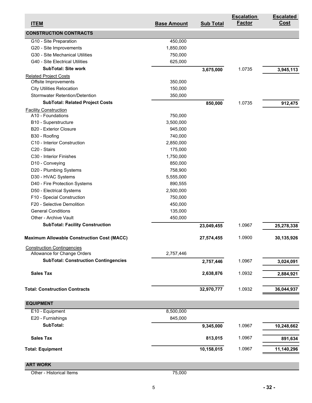| <b>ITEM</b>                                       | <b>Base Amount</b> | <b>Sub Total</b> | <b>Escalation</b><br><b>Factor</b> | <b>Escalated</b><br><u>Cost</u> |
|---------------------------------------------------|--------------------|------------------|------------------------------------|---------------------------------|
| <b>CONSTRUCTION CONTRACTS</b>                     |                    |                  |                                    |                                 |
| G10 - Site Preparation                            | 450,000            |                  |                                    |                                 |
| G20 - Site Improvements                           | 1,850,000          |                  |                                    |                                 |
| G30 - Site Mechanical Utilities                   | 750,000            |                  |                                    |                                 |
| G40 - Site Electrical Utilities                   | 625,000            |                  |                                    |                                 |
| <b>SubTotal: Site work</b>                        |                    | 3,675,000        | 1.0735                             | 3,945,113                       |
| <b>Related Project Costs</b>                      |                    |                  |                                    |                                 |
| Offsite Improvements                              | 350,000            |                  |                                    |                                 |
| <b>City Utilities Relocation</b>                  | 150,000            |                  |                                    |                                 |
| <b>Stormwater Retention/Detention</b>             | 350,000            |                  |                                    |                                 |
| <b>SubTotal: Related Project Costs</b>            |                    | 850,000          | 1.0735                             | 912,475                         |
| <b>Facility Construction</b>                      |                    |                  |                                    |                                 |
| A10 - Foundations                                 | 750,000            |                  |                                    |                                 |
| B10 - Superstructure                              | 3,500,000          |                  |                                    |                                 |
| <b>B20 - Exterior Closure</b>                     | 945,000            |                  |                                    |                                 |
| B30 - Roofing                                     | 740,000            |                  |                                    |                                 |
| C10 - Interior Construction                       | 2,850,000          |                  |                                    |                                 |
| C20 - Stairs                                      | 175,000            |                  |                                    |                                 |
| C30 - Interior Finishes                           | 1,750,000          |                  |                                    |                                 |
| D10 - Conveying                                   | 850,000            |                  |                                    |                                 |
| D20 - Plumbing Systems                            | 758,900            |                  |                                    |                                 |
| D30 - HVAC Systems                                | 5,555,000          |                  |                                    |                                 |
| D40 - Fire Protection Systems                     | 890,555            |                  |                                    |                                 |
| D50 - Electrical Systems                          | 2,500,000          |                  |                                    |                                 |
| F10 - Special Construction                        | 750,000            |                  |                                    |                                 |
| F20 - Selective Demolition                        | 450,000            |                  |                                    |                                 |
| <b>General Conditions</b>                         | 135,000            |                  |                                    |                                 |
| Other - Archive Vault                             | 450,000            |                  |                                    |                                 |
| <b>SubTotal: Facility Construction</b>            |                    |                  |                                    |                                 |
|                                                   |                    | 23,049,455       | 1.0967                             | 25,278,338                      |
| <b>Maximum Allowable Construction Cost (MACC)</b> |                    | 27,574,455       | 1.0900                             | 30,135,926                      |
| <b>Construction Contingencies</b>                 |                    |                  |                                    |                                 |
| Allowance for Change Orders                       | 2,757,446          |                  |                                    |                                 |
| <b>SubTotal: Construction Contingencies</b>       |                    | 2,757,446        | 1.0967                             | 3,024,091                       |
| <b>Sales Tax</b>                                  |                    | 2,638,876        | 1.0932                             | 2,884,921                       |
|                                                   |                    |                  |                                    |                                 |
| <b>Total: Construction Contracts</b>              |                    | 32,970,777       | 1.0932                             | 36,044,937                      |
| <b>EQUIPMENT</b>                                  |                    |                  |                                    |                                 |
| E10 - Equipment                                   | 8,500,000          |                  |                                    |                                 |
| E20 - Furnishings                                 | 845,000            |                  |                                    |                                 |
| SubTotal:                                         |                    | 9,345,000        | 1.0967                             | 10,248,662                      |
| <b>Sales Tax</b>                                  |                    | 813,015          | 1.0967                             | 891,634                         |
| <b>Total: Equipment</b>                           |                    | 10,158,015       | 1.0967                             | 11,140,296                      |
|                                                   |                    |                  |                                    |                                 |
| <b>ART WORK</b>                                   |                    |                  |                                    |                                 |
| Other - Historical Items                          | 75,000             |                  |                                    |                                 |

5